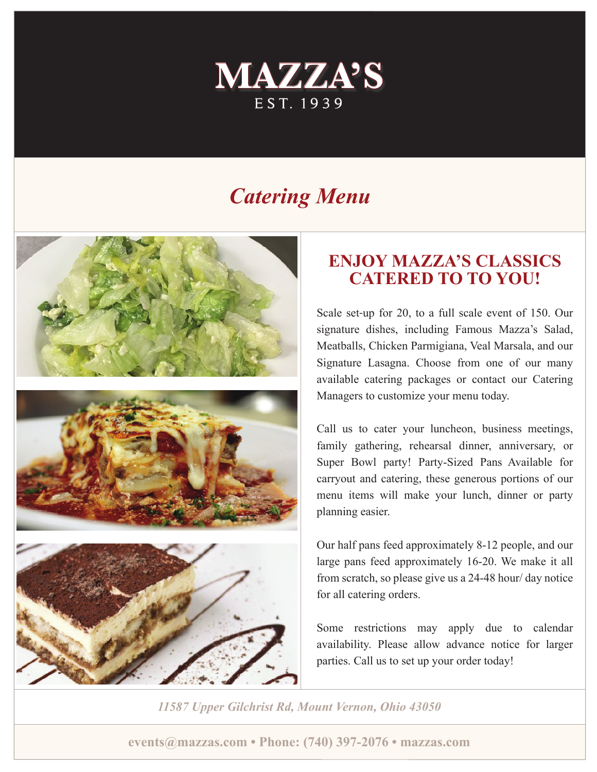

# *Catering Menu*



## **ENJOY MAZZA'S CLASSICS CATERED TO TO YOU!**

Scale set-up for 20, to a full scale event of 150. Our signature dishes, including Famous Mazza's Salad, Meatballs, Chicken Parmigiana, Veal Marsala, and our Signature Lasagna. Choose from one of our many available catering packages or contact our Catering Managers to customize your menu today.

Call us to cater your luncheon, business meetings, family gathering, rehearsal dinner, anniversary, or Super Bowl party! Party-Sized Pans Available for carryout and catering, these generous portions of our menu items will make your lunch, dinner or party planning easier.

Our half pans feed approximately 8-12 people, and our large pans feed approximately 16-20. We make it all from scratch, so please give us a 24-48 hour/ day notice for all catering orders.

Some restrictions may apply due to calendar availability. Please allow advance notice for larger parties. Call us to set up your order today!

*11587 Upper Gilchrist Rd, Mount Vernon, Ohio 43050*

**events@mazzas.com • Phone: (740) 397-2076 • mazzas.com**